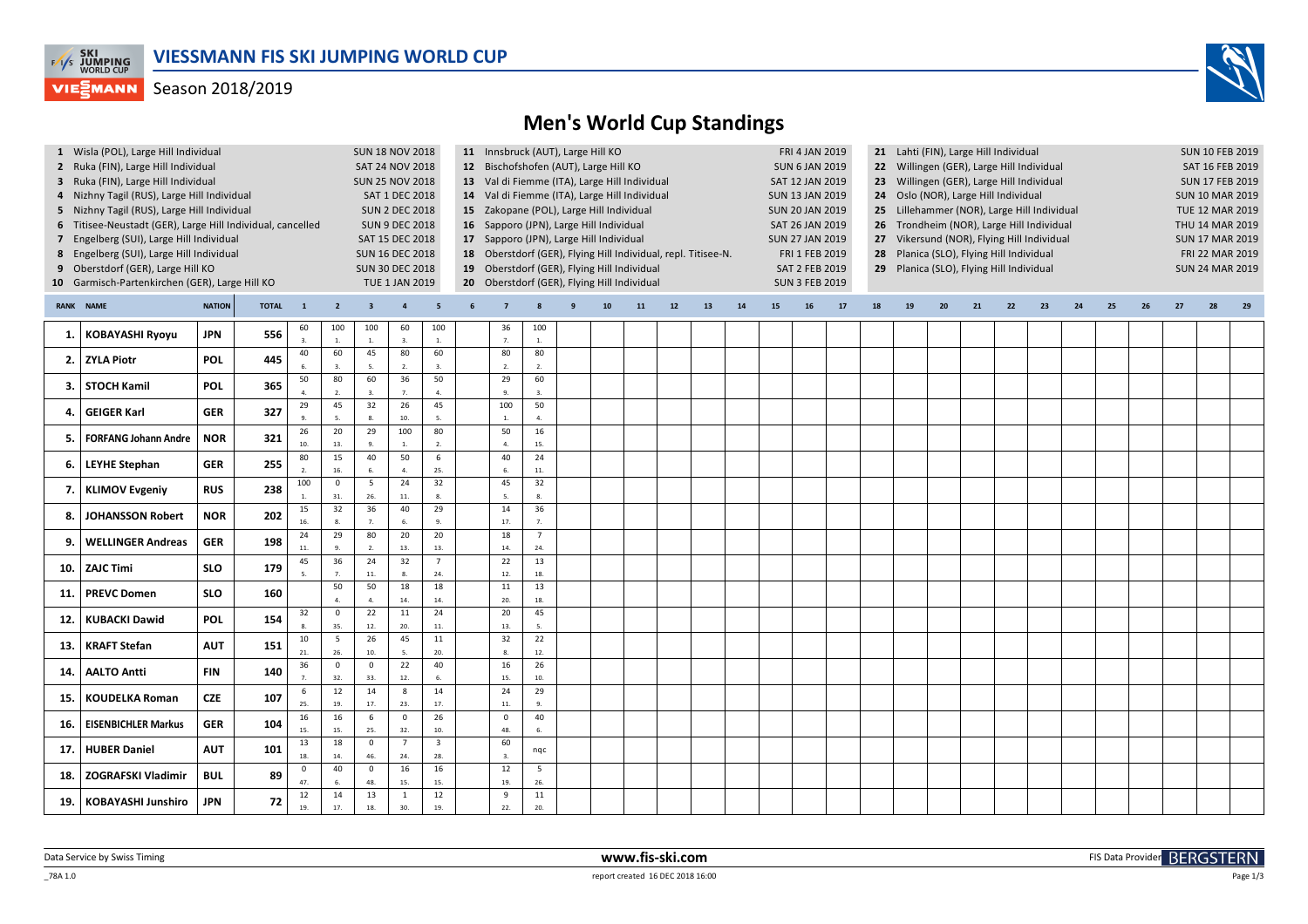

## **VIEGMANN** Season 2018/2019



## **Men's World Cup Standings**

|             | 1 Wisla (POL), Large Hill Individual                       |                        |                                                                                                                   |                      |                        | <b>SUN 18 NOV 2018</b>                        |                                               |                         |   |                     |                | 11 Innsbruck (AUT), Large Hill KO           |                                                            |                 |                                      |                                            |                                                                    | 21 Lahti (FIN), Large Hill Individual<br>FRI 4 JAN 2019 |                                          |                                           |    |                 |    |    |                 |                        |    |    |                 |    | <b>SUN 10 FEB 2019</b> |  |  |  |
|-------------|------------------------------------------------------------|------------------------|-------------------------------------------------------------------------------------------------------------------|----------------------|------------------------|-----------------------------------------------|-----------------------------------------------|-------------------------|---|---------------------|----------------|---------------------------------------------|------------------------------------------------------------|-----------------|--------------------------------------|--------------------------------------------|--------------------------------------------------------------------|---------------------------------------------------------|------------------------------------------|-------------------------------------------|----|-----------------|----|----|-----------------|------------------------|----|----|-----------------|----|------------------------|--|--|--|
|             | 2 Ruka (FIN), Large Hill Individual                        |                        |                                                                                                                   | SAT 24 NOV 2018      |                        |                                               | 12 Bischofshofen (AUT), Large Hill KO         |                         |   |                     |                |                                             |                                                            |                 |                                      |                                            | 22 Willingen (GER), Large Hill Individual<br><b>SUN 6 JAN 2019</b> |                                                         |                                          |                                           |    |                 |    |    |                 |                        |    |    | SAT 16 FEB 2019 |    |                        |  |  |  |
|             | 3 Ruka (FIN), Large Hill Individual                        | <b>SUN 25 NOV 2018</b> |                                                                                                                   |                      |                        |                                               | 13 Val di Fiemme (ITA), Large Hill Individual |                         |   |                     |                |                                             |                                                            | SAT 12 JAN 2019 |                                      |                                            | <b>SUN 17 FEB 2019</b>                                             |                                                         |                                          |                                           |    |                 |    |    |                 |                        |    |    |                 |    |                        |  |  |  |
|             | 4 Nizhny Tagil (RUS), Large Hill Individual                | SAT 1 DEC 2018         |                                                                                                                   |                      |                        | 14 Val di Fiemme (ITA), Large Hill Individual |                                               |                         |   |                     |                |                                             | <b>SUN 13 JAN 2019</b>                                     |                 | 24 Oslo (NOR), Large Hill Individual |                                            | <b>SUN 10 MAR 2019</b>                                             |                                                         |                                          |                                           |    |                 |    |    |                 |                        |    |    |                 |    |                        |  |  |  |
|             | 5 Nizhny Tagil (RUS), Large Hill Individual                | <b>SUN 2 DEC 2018</b>  | 15 Zakopane (POL), Large Hill Individual<br><b>SUN 20 JAN 2019</b><br>25 Lillehammer (NOR), Large Hill Individual |                      |                        |                                               |                                               |                         |   |                     |                |                                             |                                                            |                 |                                      |                                            |                                                                    | TUE 12 MAR 2019                                         |                                          |                                           |    |                 |    |    |                 |                        |    |    |                 |    |                        |  |  |  |
|             | 6 Titisee-Neustadt (GER), Large Hill Individual, cancelled | <b>SUN 9 DEC 2018</b>  |                                                                                                                   |                      |                        | 16 Sapporo (JPN), Large Hill Individual       |                                               |                         |   |                     |                |                                             | SAT 26 JAN 2019                                            |                 |                                      |                                            |                                                                    |                                                         |                                          | 26 Trondheim (NOR), Large Hill Individual |    | THU 14 MAR 2019 |    |    |                 |                        |    |    |                 |    |                        |  |  |  |
|             | 7 Engelberg (SUI), Large Hill Individual                   | SAT 15 DEC 2018        | 17 Sapporo (JPN), Large Hill Individual<br><b>SUN 27 JAN 2019</b>                                                 |                      |                        |                                               |                                               |                         |   |                     |                |                                             |                                                            |                 |                                      | 27 Vikersund (NOR), Flying Hill Individual |                                                                    | <b>SUN 17 MAR 2019</b>                                  |                                          |                                           |    |                 |    |    |                 |                        |    |    |                 |    |                        |  |  |  |
|             | 8 Engelberg (SUI), Large Hill Individual                   | <b>SUN 16 DEC 2018</b> | 18 Oberstdorf (GER), Flying Hill Individual, repl. Titisee-N.                                                     |                      |                        |                                               |                                               |                         |   |                     |                |                                             | FRI 1 FEB 2019<br>28 Planica (SLO), Flying Hill Individual |                 |                                      |                                            |                                                                    |                                                         |                                          |                                           |    |                 |    |    | FRI 22 MAR 2019 |                        |    |    |                 |    |                        |  |  |  |
|             | 9 Oberstdorf (GER), Large Hill KO                          | <b>SUN 30 DEC 2018</b> |                                                                                                                   |                      |                        |                                               | 19 Oberstdorf (GER), Flying Hill Individual   |                         |   |                     |                |                                             |                                                            | SAT 2 FEB 2019  |                                      |                                            |                                                                    |                                                         | 29 Planica (SLO), Flying Hill Individual |                                           |    |                 |    |    |                 | <b>SUN 24 MAR 2019</b> |    |    |                 |    |                        |  |  |  |
|             | 10 Garmisch-Partenkirchen (GER), Large Hill KO             |                        |                                                                                                                   |                      |                        |                                               | <b>TUE 1 JAN 2019</b>                         |                         |   |                     |                | 20 Oberstdorf (GER), Flying Hill Individual |                                                            |                 |                                      |                                            |                                                                    |                                                         | <b>SUN 3 FEB 2019</b>                    |                                           |    |                 |    |    |                 |                        |    |    |                 |    |                        |  |  |  |
|             |                                                            |                        |                                                                                                                   |                      |                        |                                               |                                               |                         |   |                     |                |                                             |                                                            |                 |                                      |                                            |                                                                    |                                                         |                                          |                                           |    |                 |    |    |                 |                        |    |    |                 |    |                        |  |  |  |
| <b>RANK</b> | <b>NAME</b><br><b>NATION</b><br><b>TOTAL</b>               |                        |                                                                                                                   |                      | $\overline{2}$         | $\overline{\mathbf{3}}$                       | $\overline{4}$                                | 5                       | 6 |                     |                |                                             | 10                                                         | 11              | $12$                                 | 13                                         | 14                                                                 | 15                                                      | ${\bf 16}$                               | $17$                                      | 18 | 19              | 20 | 21 | 22              | 23                     | 24 | 25 | 26              | 27 | 28                     |  |  |  |
| 1.          | <b>KOBAYASHI Ryoyu</b>                                     | <b>JPN</b>             | 556                                                                                                               | 60                   | 100                    | 100                                           | 60                                            | 100                     |   | 36                  | 100            |                                             |                                                            |                 |                                      |                                            |                                                                    |                                                         |                                          |                                           |    |                 |    |    |                 |                        |    |    |                 |    |                        |  |  |  |
|             |                                                            |                        |                                                                                                                   | $\overline{3}$       | 1.                     | 1.                                            | 3.                                            | 1.                      |   | 7.                  | 1.             |                                             |                                                            |                 |                                      |                                            |                                                                    |                                                         |                                          |                                           |    |                 |    |    |                 |                        |    |    |                 |    |                        |  |  |  |
| 2.          | <b>ZYLA Piotr</b>                                          | <b>POL</b>             | 445                                                                                                               | 40                   | 60                     | 45                                            | 80                                            | 60                      |   | 80                  | 80             |                                             |                                                            |                 |                                      |                                            |                                                                    |                                                         |                                          |                                           |    |                 |    |    |                 |                        |    |    |                 |    |                        |  |  |  |
|             |                                                            |                        |                                                                                                                   | 6.<br>50             | 3.<br>80               | 5.<br>60                                      | 2.<br>36                                      | 3.<br>50                |   | 2.<br>29            | 2.<br>60       |                                             |                                                            |                 |                                      |                                            |                                                                    |                                                         |                                          |                                           |    |                 |    |    |                 |                        |    |    |                 |    |                        |  |  |  |
| 3.          | <b>STOCH Kamil</b>                                         | <b>POL</b>             | 365                                                                                                               |                      |                        |                                               |                                               | 4.                      |   | 9.                  | 3.             |                                             |                                                            |                 |                                      |                                            |                                                                    |                                                         |                                          |                                           |    |                 |    |    |                 |                        |    |    |                 |    |                        |  |  |  |
| 4.          | <b>GEIGER Karl</b>                                         | <b>GER</b>             | 327                                                                                                               | 29                   | 45                     | 32                                            | 26                                            | 45                      |   | 100                 | 50             |                                             |                                                            |                 |                                      |                                            |                                                                    |                                                         |                                          |                                           |    |                 |    |    |                 |                        |    |    |                 |    |                        |  |  |  |
|             |                                                            |                        |                                                                                                                   |                      | $\overline{5}$         | 8.                                            | 10.                                           | 5.                      |   | $\mathbf{1}$        | 4.             |                                             |                                                            |                 |                                      |                                            |                                                                    |                                                         |                                          |                                           |    |                 |    |    |                 |                        |    |    |                 |    |                        |  |  |  |
| 5.          | <b>FORFANG Johann Andre</b>                                | <b>NOR</b>             | 321                                                                                                               | 26                   | 20                     | 29                                            | 100                                           | 80                      |   | 50                  | 16             |                                             |                                                            |                 |                                      |                                            |                                                                    |                                                         |                                          |                                           |    |                 |    |    |                 |                        |    |    |                 |    |                        |  |  |  |
|             |                                                            |                        |                                                                                                                   | 10.                  | 13.                    | $\mathbf{q}$                                  | $1.$                                          | 2.                      |   | $\overline{4}$      | 15.            |                                             |                                                            |                 |                                      |                                            |                                                                    |                                                         |                                          |                                           |    |                 |    |    |                 |                        |    |    |                 |    |                        |  |  |  |
| 6.          | <b>LEYHE Stephan</b>                                       | <b>GER</b>             | 255                                                                                                               | 80<br>$\overline{2}$ | 15<br>16.              | 40<br>6.                                      | 50<br>4.                                      | 6<br>25.                |   | 40<br>6.            | 24<br>11.      |                                             |                                                            |                 |                                      |                                            |                                                                    |                                                         |                                          |                                           |    |                 |    |    |                 |                        |    |    |                 |    |                        |  |  |  |
|             |                                                            |                        |                                                                                                                   | 100                  | $\mathbf 0$            | 5                                             | 24                                            | 32                      |   | 45                  | 32             |                                             |                                                            |                 |                                      |                                            |                                                                    |                                                         |                                          |                                           |    |                 |    |    |                 |                        |    |    |                 |    |                        |  |  |  |
| 7.          | <b>KLIMOV Evgeniy</b>                                      | <b>RUS</b>             | 238                                                                                                               | $\mathbf{1}$         | 31.                    | 26.                                           | 11.                                           | 8.                      |   | 5.                  | 8.             |                                             |                                                            |                 |                                      |                                            |                                                                    |                                                         |                                          |                                           |    |                 |    |    |                 |                        |    |    |                 |    |                        |  |  |  |
|             |                                                            |                        |                                                                                                                   | 15                   | 32                     | 36                                            | 40                                            | 29                      |   | 14                  | 36             |                                             |                                                            |                 |                                      |                                            |                                                                    |                                                         |                                          |                                           |    |                 |    |    |                 |                        |    |    |                 |    |                        |  |  |  |
| 8.          | <b>JOHANSSON Robert</b>                                    | <b>NOR</b>             | 202                                                                                                               | 16.                  |                        |                                               |                                               | 9.                      |   | 17.                 | 7.             |                                             |                                                            |                 |                                      |                                            |                                                                    |                                                         |                                          |                                           |    |                 |    |    |                 |                        |    |    |                 |    |                        |  |  |  |
| 9.          | <b>WELLINGER Andreas</b>                                   | <b>GER</b>             | 198<br>179                                                                                                        | 24                   | 29                     | 80                                            | 20                                            | 20                      |   | 18                  | $\overline{7}$ |                                             |                                                            |                 |                                      |                                            |                                                                    |                                                         |                                          |                                           |    |                 |    |    |                 |                        |    |    |                 |    |                        |  |  |  |
|             |                                                            |                        |                                                                                                                   | 11.                  |                        | $\overline{2}$                                | 13.                                           | 13.                     |   | 14.                 | 24.            |                                             |                                                            |                 |                                      |                                            |                                                                    |                                                         |                                          |                                           |    |                 |    |    |                 |                        |    |    |                 |    |                        |  |  |  |
| 10.         | <b>ZAJC Timi</b>                                           | <b>SLO</b>             |                                                                                                                   | 45                   | 36                     | 24                                            | 32                                            | $\overline{7}$          |   | 22                  | 13             |                                             |                                                            |                 |                                      |                                            |                                                                    |                                                         |                                          |                                           |    |                 |    |    |                 |                        |    |    |                 |    |                        |  |  |  |
|             |                                                            |                        |                                                                                                                   |                      | $\overline{7}$ .       | $11.$                                         | 8.                                            | 24.                     |   | 12.                 | 18.            |                                             |                                                            |                 |                                      |                                            |                                                                    |                                                         |                                          |                                           |    |                 |    |    |                 |                        |    |    |                 |    |                        |  |  |  |
| 11.         | <b>PREVC Domen</b>                                         | <b>SLO</b>             | 160                                                                                                               |                      | 50<br>$\overline{4}$ . | 50                                            | 18<br>14.                                     | 18<br>14.               |   | 11<br>20.           | 13<br>18.      |                                             |                                                            |                 |                                      |                                            |                                                                    |                                                         |                                          |                                           |    |                 |    |    |                 |                        |    |    |                 |    |                        |  |  |  |
|             |                                                            |                        |                                                                                                                   | 32                   | $\mathbf 0$            | 22                                            | 11                                            | 24                      |   | 20                  | 45             |                                             |                                                            |                 |                                      |                                            |                                                                    |                                                         |                                          |                                           |    |                 |    |    |                 |                        |    |    |                 |    |                        |  |  |  |
| 12.         | <b>KUBACKI Dawid</b>                                       | <b>POL</b>             | 154                                                                                                               |                      | 35.                    | 12.                                           | 20.                                           | $\bf 11.$               |   | 13.                 | 5.             |                                             |                                                            |                 |                                      |                                            |                                                                    |                                                         |                                          |                                           |    |                 |    |    |                 |                        |    |    |                 |    |                        |  |  |  |
|             |                                                            |                        |                                                                                                                   | 10                   | 5                      | 26                                            | 45                                            | 11                      |   | 32                  | 22             |                                             |                                                            |                 |                                      |                                            |                                                                    |                                                         |                                          |                                           |    |                 |    |    |                 |                        |    |    |                 |    |                        |  |  |  |
| 13.         | <b>KRAFT Stefan</b>                                        | <b>AUT</b>             | 151                                                                                                               | 21.                  | 26.                    | 10.                                           |                                               | 20.                     |   | 8.                  | 12.            |                                             |                                                            |                 |                                      |                                            |                                                                    |                                                         |                                          |                                           |    |                 |    |    |                 |                        |    |    |                 |    |                        |  |  |  |
| 14.         | <b>AALTO Antti</b>                                         | <b>FIN</b>             | 140                                                                                                               | 36                   | $\mathsf 0$            | $\circ$                                       | 22                                            | 40                      |   | 16                  | 26             |                                             |                                                            |                 |                                      |                                            |                                                                    |                                                         |                                          |                                           |    |                 |    |    |                 |                        |    |    |                 |    |                        |  |  |  |
|             |                                                            |                        |                                                                                                                   |                      | 32.                    | 33.                                           | 12.                                           | 6.                      |   | 15.                 | 10.            |                                             |                                                            |                 |                                      |                                            |                                                                    |                                                         |                                          |                                           |    |                 |    |    |                 |                        |    |    |                 |    |                        |  |  |  |
| 15.         | <b>KOUDELKA Roman</b>                                      | CZE                    | 107                                                                                                               | 6                    | 12                     | 14                                            | 8                                             | 14                      |   | 24                  | 29             |                                             |                                                            |                 |                                      |                                            |                                                                    |                                                         |                                          |                                           |    |                 |    |    |                 |                        |    |    |                 |    |                        |  |  |  |
|             |                                                            |                        |                                                                                                                   | 25.                  | 19.                    | 17.                                           | 23.                                           | 17.                     |   | 11.                 | 9.             |                                             |                                                            |                 |                                      |                                            |                                                                    |                                                         |                                          |                                           |    |                 |    |    |                 |                        |    |    |                 |    |                        |  |  |  |
| 16.         | <b>EISENBICHLER Markus</b>                                 | <b>GER</b>             | 104                                                                                                               | 16<br>15.            | 16<br>15.              | 6                                             | $\mathbf 0$                                   | 26<br>10.               |   | $\mathbf{0}$<br>48. | 40             |                                             |                                                            |                 |                                      |                                            |                                                                    |                                                         |                                          |                                           |    |                 |    |    |                 |                        |    |    |                 |    |                        |  |  |  |
|             |                                                            |                        |                                                                                                                   | 13                   | 18                     | 25.<br>$\mathsf{O}$                           | 32.<br>$\overline{7}$                         | $\overline{\mathbf{3}}$ |   | 60                  | 6.             |                                             |                                                            |                 |                                      |                                            |                                                                    |                                                         |                                          |                                           |    |                 |    |    |                 |                        |    |    |                 |    |                        |  |  |  |
| 17.         | <b>HUBER Daniel</b>                                        | <b>AUT</b>             | 101                                                                                                               | 18.                  | 14.                    | 46.                                           | 24.                                           | 28.                     |   | 3.                  | nqc            |                                             |                                                            |                 |                                      |                                            |                                                                    |                                                         |                                          |                                           |    |                 |    |    |                 |                        |    |    |                 |    |                        |  |  |  |
|             |                                                            |                        |                                                                                                                   | $\mathbf 0$          | 40                     | $\mathsf{O}$                                  | 16                                            | 16                      |   | 12                  | 5              |                                             |                                                            |                 |                                      |                                            |                                                                    |                                                         |                                          |                                           |    |                 |    |    |                 |                        |    |    |                 |    |                        |  |  |  |
| 18.         | <b>ZOGRAFSKI Vladimir</b>                                  | <b>BUL</b>             | 89                                                                                                                | 47.                  |                        | 48.                                           | 15.                                           | 15.                     |   | 19.                 | 26.            |                                             |                                                            |                 |                                      |                                            |                                                                    |                                                         |                                          |                                           |    |                 |    |    |                 |                        |    |    |                 |    |                        |  |  |  |
| 19.         | <b>KOBAYASHI Junshiro</b>                                  | <b>JPN</b>             | 72                                                                                                                | 12                   | 14                     | 13                                            | $\mathbf{1}$                                  | 12                      |   | 9                   | 11             |                                             |                                                            |                 |                                      |                                            |                                                                    |                                                         |                                          |                                           |    |                 |    |    |                 |                        |    |    |                 |    |                        |  |  |  |
|             |                                                            |                        |                                                                                                                   | 19.                  | 17.                    | 18.                                           | 30.                                           | 19.                     |   | 22.                 | 20.            |                                             |                                                            |                 |                                      |                                            |                                                                    |                                                         |                                          |                                           |    |                 |    |    |                 |                        |    |    |                 |    |                        |  |  |  |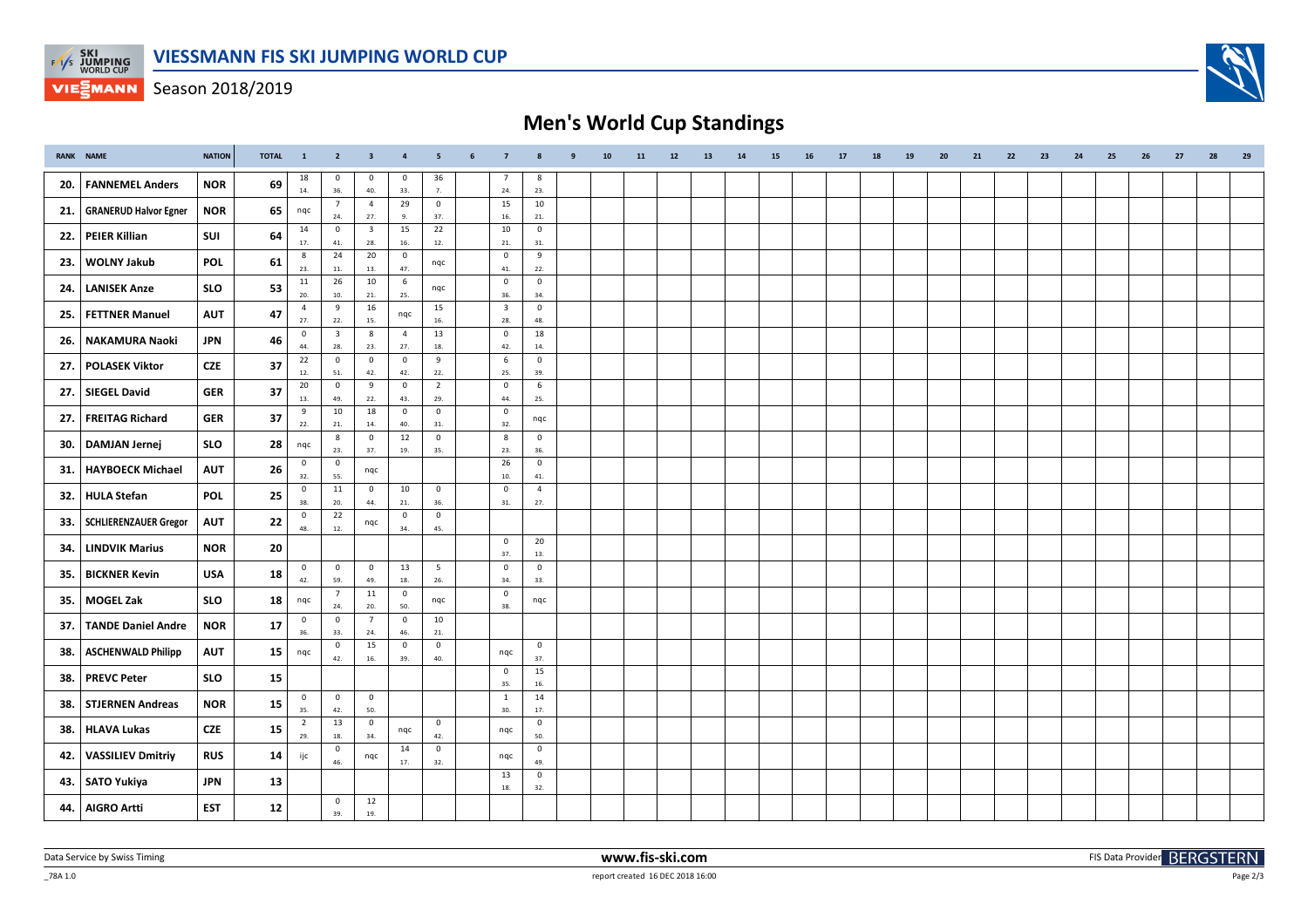

**VIEGMANN** Season 2018/2019

## **Men's World Cup Standings**

|     | RANK NAME                    | <b>NATION</b> | <b>TOTAL</b> | $\blacksquare$        | $\overline{2}$                 | $\overline{\phantom{a}}$ 3 | $\overline{\phantom{a}}$ | $\overline{\phantom{0}}$ | 6 | $\overline{7}$                 | 8                     | 9 | 10 | 11 | $12$ | 13 | 14 | 15 | 16 | 17 | 18 | 19 | 20 | 21 | 22 | 23 | 24 | 25 | 26 | 27 | 28 | 29 |
|-----|------------------------------|---------------|--------------|-----------------------|--------------------------------|----------------------------|--------------------------|--------------------------|---|--------------------------------|-----------------------|---|----|----|------|----|----|----|----|----|----|----|----|----|----|----|----|----|----|----|----|----|
| 20. | <b>FANNEMEL Anders</b>       | <b>NOR</b>    | 69           | 18<br>14.             | $^{\circ}$<br>36.              | $^{\circ}$<br>40.          | $\mathbf{0}$<br>33.      | 36<br>7.                 |   | 7<br>24.                       | -8<br>23.             |   |    |    |      |    |    |    |    |    |    |    |    |    |    |    |    |    |    |    |    |    |
| 21. | <b>GRANERUD Halvor Egner</b> | <b>NOR</b>    | 65           | nqc                   | $\overline{7}$<br>24.          | $\overline{4}$<br>27.      | 29<br>9.                 | $\overline{0}$<br>37.    |   | 15<br>16.                      | 10<br>21.             |   |    |    |      |    |    |    |    |    |    |    |    |    |    |    |    |    |    |    |    |    |
|     | <b>PEIER Killian</b>         | SUI           |              | 14                    | $\overline{0}$                 | $\overline{\mathbf{3}}$    | 15                       | 22                       |   | 10                             | $\mathbf 0$           |   |    |    |      |    |    |    |    |    |    |    |    |    |    |    |    |    |    |    |    |    |
| 22. |                              |               | 64           | 17.                   | 41.<br>24                      | 28.<br>20                  | 16.                      | 12.                      |   | 21.<br>$\mathsf 0$             | 31.                   |   |    |    |      |    |    |    |    |    |    |    |    |    |    |    |    |    |    |    |    |    |
| 23. | <b>WOLNY Jakub</b>           | <b>POL</b>    | 61           | 8<br>23.              | $11.$                          | 13.                        | $\overline{0}$<br>47.    | nqc                      |   | 41.                            | 9<br>22.              |   |    |    |      |    |    |    |    |    |    |    |    |    |    |    |    |    |    |    |    |    |
| 24. | <b>LANISEK Anze</b>          | <b>SLO</b>    | 53           | 11<br>20.             | 26<br>10.                      | 10<br>21.                  | 6<br>25.                 | nqc                      |   | $\overline{0}$<br>36.          | $\mathbf 0$<br>34.    |   |    |    |      |    |    |    |    |    |    |    |    |    |    |    |    |    |    |    |    |    |
| 25. | <b>FETTNER Manuel</b>        | AUT           | 47           | $\overline{4}$<br>27. | 9<br>22.                       | 16<br>15.                  | nqc                      | 15<br>16.                |   | $\overline{\mathbf{3}}$<br>28. | $\mathbf 0$<br>48.    |   |    |    |      |    |    |    |    |    |    |    |    |    |    |    |    |    |    |    |    |    |
| 26. | NAKAMURA Naoki               | JPN           | 46           | $\mathsf{O}$<br>44.   | $\overline{\mathbf{3}}$<br>28. | 8                          | $\overline{4}$<br>27.    | 13<br>18.                |   | $\mathbf 0$<br>42.             | 18<br>14.             |   |    |    |      |    |    |    |    |    |    |    |    |    |    |    |    |    |    |    |    |    |
| 27. | <b>POLASEK Viktor</b>        | <b>CZE</b>    | 37           | 22                    | $\overline{0}$                 | 23.<br>$\mathbf 0$         | $\mathsf 0$              | 9                        |   | 6                              | $\mathbf 0$           |   |    |    |      |    |    |    |    |    |    |    |    |    |    |    |    |    |    |    |    |    |
|     |                              |               |              | 12.<br>20             | 51.<br>$\overline{0}$          | 42.<br>9                   | 42.<br>$\mathbf 0$       | 22.<br>$\overline{2}$    |   | 25.<br>$\mathbf 0$             | 39.<br>6              |   |    |    |      |    |    |    |    |    |    |    |    |    |    |    |    |    |    |    |    |    |
| 27. | <b>SIEGEL David</b>          | <b>GER</b>    | 37           | 13.                   | 49.                            | 22.                        | 43.                      | 29.                      |   | 44.                            | 25.                   |   |    |    |      |    |    |    |    |    |    |    |    |    |    |    |    |    |    |    |    |    |
| 27. | <b>FREITAG Richard</b>       | GER           | 37           | 9<br>$22.$            | 10<br>21.                      | 18<br>14.                  | $\overline{0}$<br>40.    | $\overline{0}$<br>31.    |   | $\mathsf 0$<br>32.             | nqc                   |   |    |    |      |    |    |    |    |    |    |    |    |    |    |    |    |    |    |    |    |    |
| 30. | DAMJAN Jernej                | <b>SLO</b>    | 28           | nqc                   | 8<br>23.                       | $\mathsf 0$<br>37.         | 12<br>19.                | $\mathsf 0$<br>35.       |   | $\boldsymbol{8}$<br>23.        | $\mathbf 0$<br>36.    |   |    |    |      |    |    |    |    |    |    |    |    |    |    |    |    |    |    |    |    |    |
|     |                              |               |              | $\mathbf 0$           | $\mathbf{0}$                   |                            |                          |                          |   | 26                             | $\mathbf 0$           |   |    |    |      |    |    |    |    |    |    |    |    |    |    |    |    |    |    |    |    |    |
| 31. | <b>HAYBOECK Michael</b>      | <b>AUT</b>    | 26           | 32.                   | 55.                            | nqc                        |                          |                          |   | 10.                            | 41.                   |   |    |    |      |    |    |    |    |    |    |    |    |    |    |    |    |    |    |    |    |    |
| 32. | HULA Stefan                  | POL           | 25           | $\mathbf 0$<br>38.    | 11<br>20.                      | $\mathbf 0$<br>44.         | 10<br>21.                | $\overline{0}$<br>36.    |   | $\overline{0}$<br>31.          | $\overline{4}$<br>27. |   |    |    |      |    |    |    |    |    |    |    |    |    |    |    |    |    |    |    |    |    |
| 33. | <b>SCHLIERENZAUER Gregor</b> | <b>AUT</b>    | 22           | $\mathbf 0$<br>48.    | 22<br>$12.$                    | nqc                        | $\overline{0}$<br>34.    | $\mathsf 0$<br>45.       |   |                                |                       |   |    |    |      |    |    |    |    |    |    |    |    |    |    |    |    |    |    |    |    |    |
| 34. | <b>LINDVIK Marius</b>        | <b>NOR</b>    | 20           |                       |                                |                            |                          |                          |   | $\mathbf 0$<br>37.             | 20<br>13.             |   |    |    |      |    |    |    |    |    |    |    |    |    |    |    |    |    |    |    |    |    |
| 35. | <b>BICKNER Kevin</b>         | <b>USA</b>    | 18           | $\mathbf 0$<br>42.    | $\mathbf{0}$<br>59.            | $\mathbf 0$<br>49.         | 13<br>18.                | $5\overline{5}$<br>26.   |   | $\mathsf 0$<br>34.             | $\mathbf 0$<br>33.    |   |    |    |      |    |    |    |    |    |    |    |    |    |    |    |    |    |    |    |    |    |
| 35. | <b>MOGEL Zak</b>             | <b>SLO</b>    | 18           | nqc                   | $7^{\circ}$                    | 11                         | $\overline{0}$           | nqc                      |   | $\mathbf 0$                    | nqc                   |   |    |    |      |    |    |    |    |    |    |    |    |    |    |    |    |    |    |    |    |    |
|     |                              |               |              | $\mathbf{0}$          | 24.<br>$\overline{0}$          | 20.<br>$7\overline{ }$     | 50.<br>$\mathsf 0$       | 10                       |   | 38.                            |                       |   |    |    |      |    |    |    |    |    |    |    |    |    |    |    |    |    |    |    |    |    |
| 37. | <b>TANDE Daniel Andre</b>    | <b>NOR</b>    | 17           | 36.                   | 33.                            | 24.                        | 46.                      | $21.$                    |   |                                |                       |   |    |    |      |    |    |    |    |    |    |    |    |    |    |    |    |    |    |    |    |    |
| 38. | <b>ASCHENWALD Philipp</b>    | <b>AUT</b>    | 15           | nqc                   | $\mathbf 0$<br>42.             | 15<br>$16.$                | $\mathbf 0$<br>39.       | $\overline{0}$<br>40.    |   | nqc                            | $\mathbf{0}$<br>37.   |   |    |    |      |    |    |    |    |    |    |    |    |    |    |    |    |    |    |    |    |    |
| 38. | <b>PREVC Peter</b>           | <b>SLO</b>    | 15           |                       |                                |                            |                          |                          |   | $\overline{0}$<br>35.          | 15<br>16.             |   |    |    |      |    |    |    |    |    |    |    |    |    |    |    |    |    |    |    |    |    |
| 38. | <b>STJERNEN Andreas</b>      | <b>NOR</b>    | 15           | $\mathbf 0$<br>35.    | $\mathbf 0$<br>42.             | $\circ$<br>50.             |                          |                          |   | $\overline{1}$<br>30.          | 14<br>$17.$           |   |    |    |      |    |    |    |    |    |    |    |    |    |    |    |    |    |    |    |    |    |
| 38. | HLAVA Lukas                  | <b>CZE</b>    | 15           | $\overline{2}$<br>29. | 13<br>18.                      | $\mathbf 0$<br>34.         | nqc                      | $\overline{0}$<br>42.    |   | nqc                            | $\mathsf 0$<br>50.    |   |    |    |      |    |    |    |    |    |    |    |    |    |    |    |    |    |    |    |    |    |
| 42. | <b>VASSILIEV Dmitriy</b>     | <b>RUS</b>    | 14           | ijc                   | 0                              | nqc                        | 14<br>17.                | $\mathbf 0$              |   | nqc                            | $\mathbf 0$           |   |    |    |      |    |    |    |    |    |    |    |    |    |    |    |    |    |    |    |    |    |
|     |                              |               |              |                       | 46.                            |                            |                          | 32.                      |   | 13                             | 49.<br>$\mathbf 0$    |   |    |    |      |    |    |    |    |    |    |    |    |    |    |    |    |    |    |    |    |    |
| 43. | <b>SATO Yukiya</b>           | <b>JPN</b>    | 13           |                       |                                |                            |                          |                          |   | 18.                            | 32.                   |   |    |    |      |    |    |    |    |    |    |    |    |    |    |    |    |    |    |    |    |    |
| 44. | AIGRO Artti                  | <b>EST</b>    | 12           |                       | $\mathbf{0}$<br>39.            | 12<br>19.                  |                          |                          |   |                                |                       |   |    |    |      |    |    |    |    |    |    |    |    |    |    |    |    |    |    |    |    |    |

\_78A 1.0